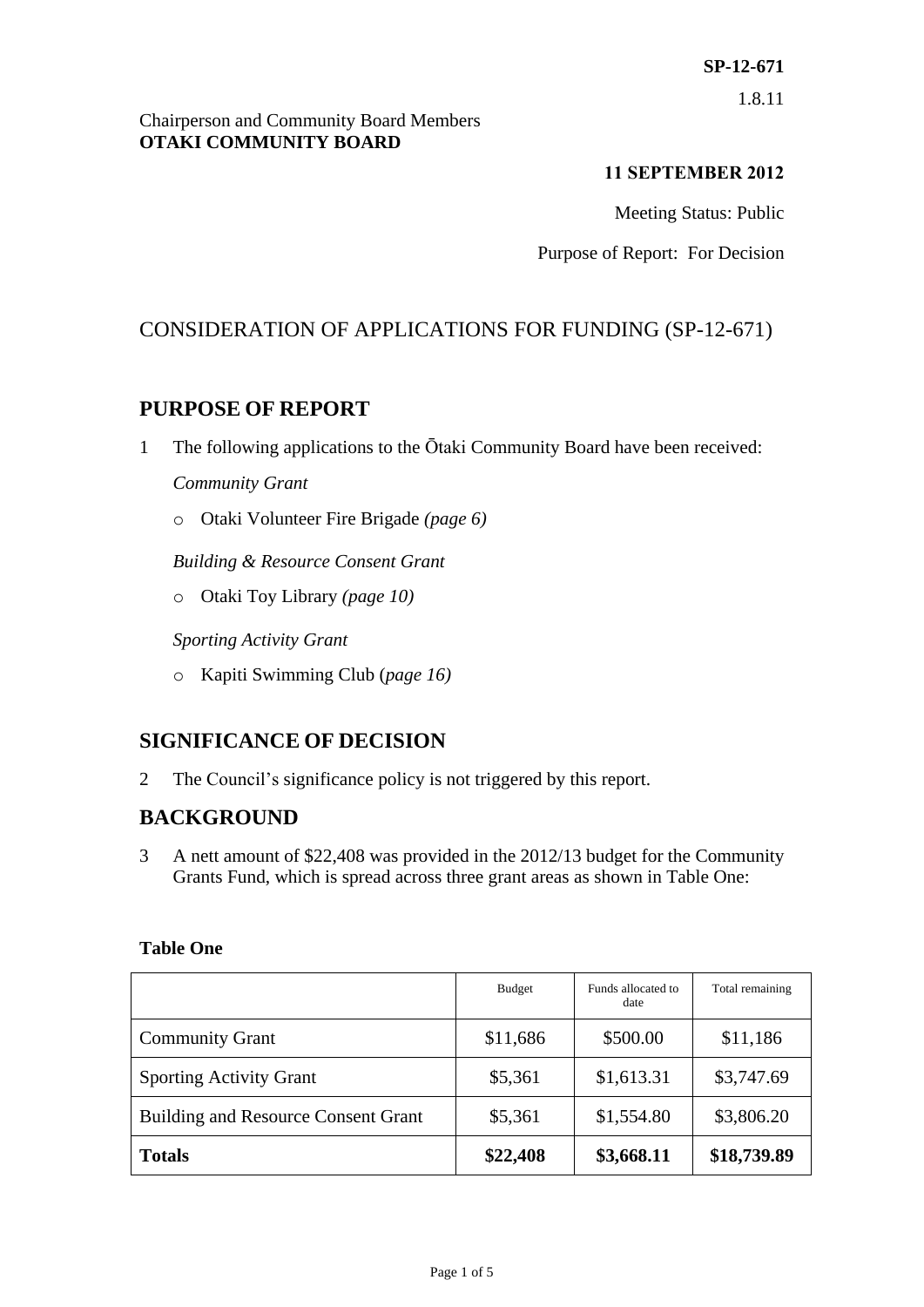#### Chairperson and Community Board Members **OTAKI COMMUNITY BOARD**

### **11 SEPTEMBER 2012**

Meeting Status: Public

Purpose of Report: For Decision

# CONSIDERATION OF APPLICATIONS FOR FUNDING (SP-12-671)

# **PURPOSE OF REPORT**

- 1 The following applications to the Ōtaki Community Board have been received: *Community Grant*
	- o Otaki Volunteer Fire Brigade *(page 6)*

*Building & Resource Consent Grant*

o Otaki Toy Library *(page 10)*

*Sporting Activity Grant*

o Kapiti Swimming Club (*page 16)*

# **SIGNIFICANCE OF DECISION**

2 The Council's significance policy is not triggered by this report.

# **BACKGROUND**

3 A nett amount of \$22,408 was provided in the 2012/13 budget for the Community Grants Fund, which is spread across three grant areas as shown in Table One:

|                                            | <b>Budget</b> | Funds allocated to<br>date | Total remaining |
|--------------------------------------------|---------------|----------------------------|-----------------|
| <b>Community Grant</b>                     | \$11,686      | \$500.00                   | \$11,186        |
| <b>Sporting Activity Grant</b>             | \$5,361       | \$1,613.31                 | \$3,747.69      |
| <b>Building and Resource Consent Grant</b> | \$5,361       | \$1,554.80                 | \$3,806.20      |
| <b>Totals</b>                              | \$22,408      | \$3,668.11                 | \$18,739.89     |

#### **Table One**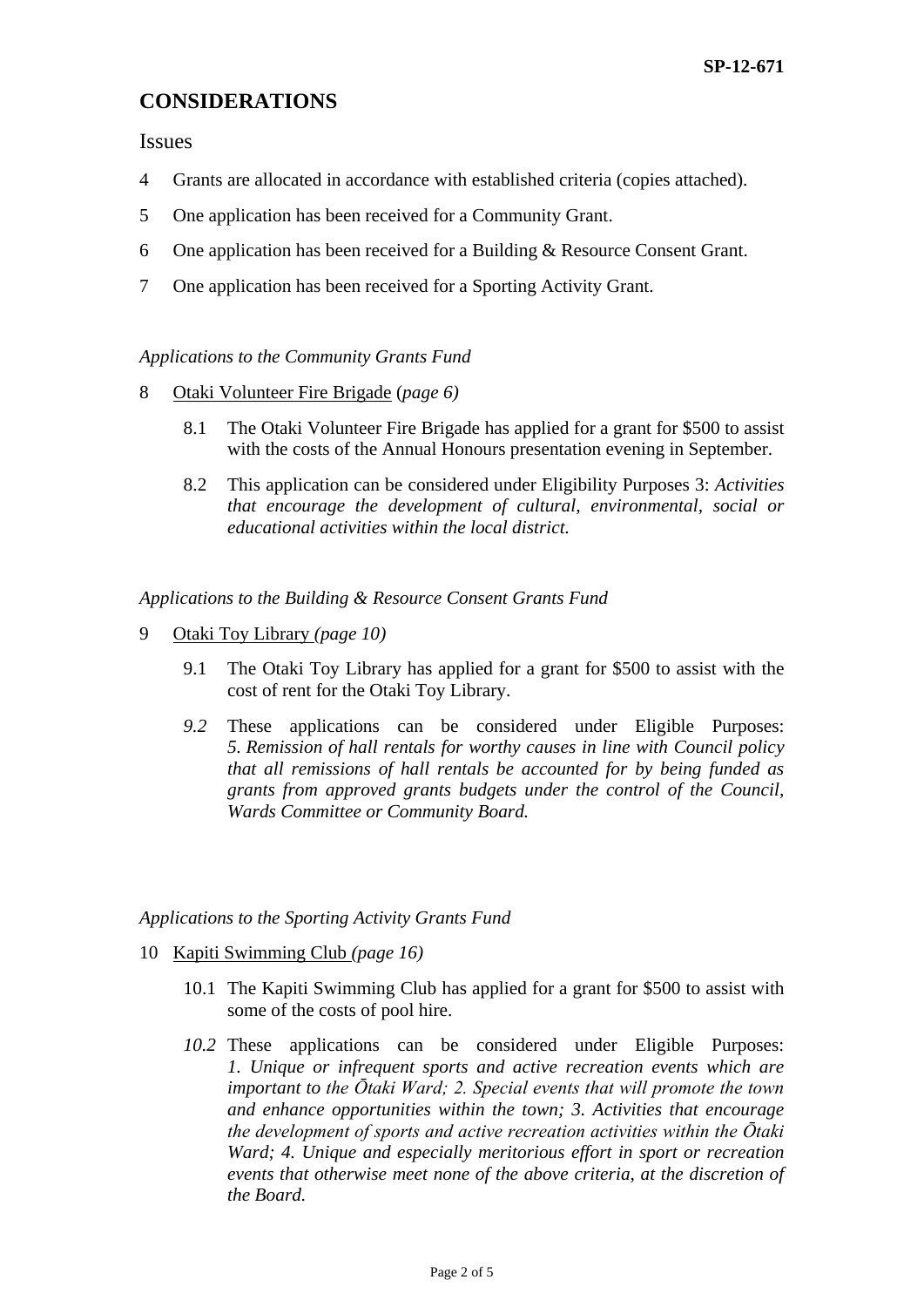# **CONSIDERATIONS**

Issues

- 4 Grants are allocated in accordance with established criteria (copies attached).
- 5 One application has been received for a Community Grant.
- 6 One application has been received for a Building & Resource Consent Grant.
- 7 One application has been received for a Sporting Activity Grant.

#### *Applications to the Community Grants Fund*

- 8 Otaki Volunteer Fire Brigade (*page 6)*
	- 8.1 The Otaki Volunteer Fire Brigade has applied for a grant for \$500 to assist with the costs of the Annual Honours presentation evening in September.
	- 8.2 This application can be considered under Eligibility Purposes 3: *Activities that encourage the development of cultural, environmental, social or educational activities within the local district.*

*Applications to the Building & Resource Consent Grants Fund*

- 9 Otaki Toy Library *(page 10)*
	- 9.1 The Otaki Toy Library has applied for a grant for \$500 to assist with the cost of rent for the Otaki Toy Library.
	- *9.2* These applications can be considered under Eligible Purposes: *5. Remission of hall rentals for worthy causes in line with Council policy that all remissions of hall rentals be accounted for by being funded as grants from approved grants budgets under the control of the Council, Wards Committee or Community Board.*

#### *Applications to the Sporting Activity Grants Fund*

- 10 Kapiti Swimming Club *(page 16)*
	- 10.1 The Kapiti Swimming Club has applied for a grant for \$500 to assist with some of the costs of pool hire.
	- *10.2* These applications can be considered under Eligible Purposes: *1. Unique or infrequent sports and active recreation events which are important to the Ōtaki Ward; 2. Special events that will promote the town and enhance opportunities within the town; 3. Activities that encourage the development of sports and active recreation activities within the Ōtaki Ward; 4. Unique and especially meritorious effort in sport or recreation events that otherwise meet none of the above criteria, at the discretion of the Board.*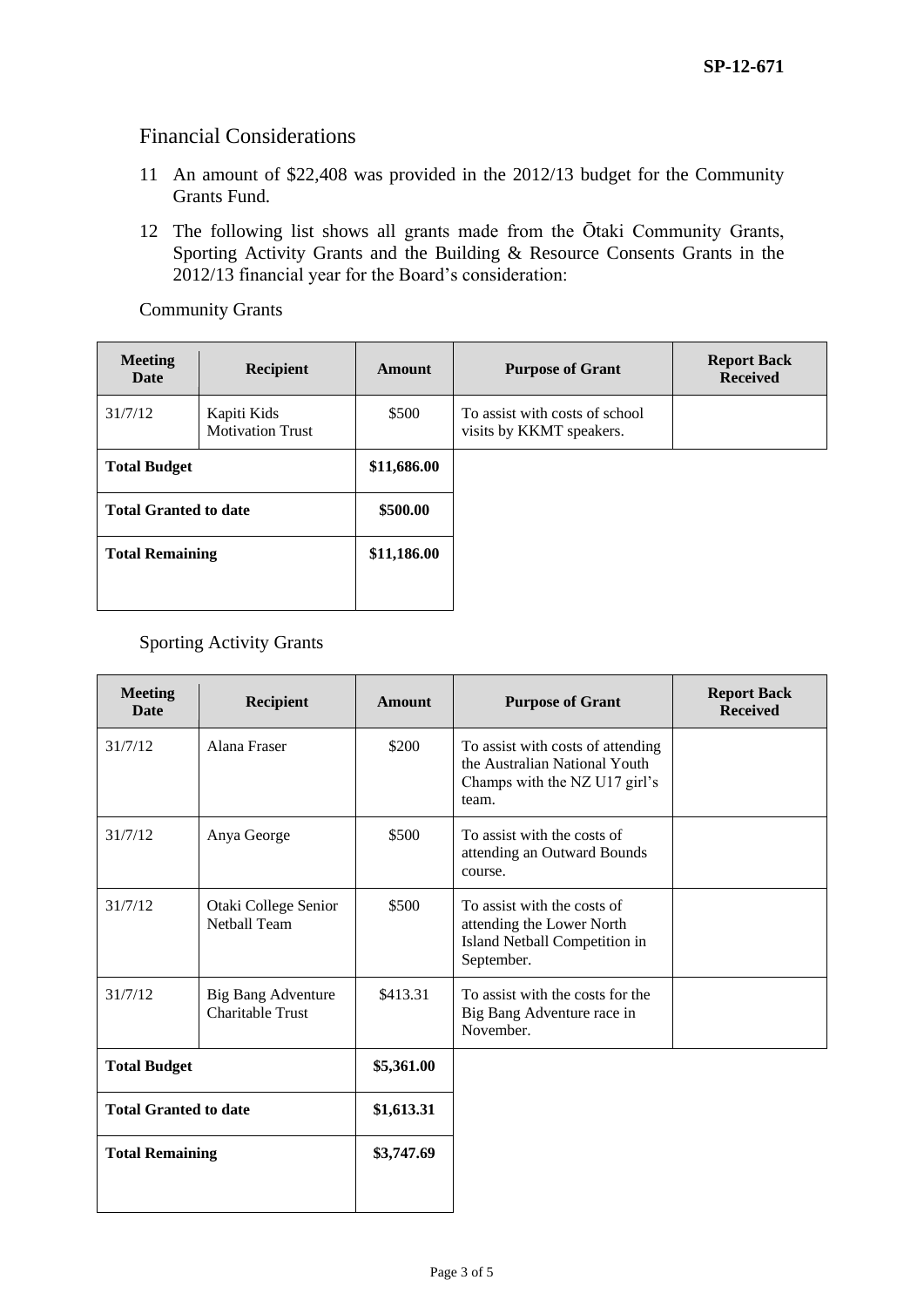### Financial Considerations

- 11 An amount of \$22,408 was provided in the 2012/13 budget for the Community Grants Fund.
- 12 The following list shows all grants made from the Ōtaki Community Grants, Sporting Activity Grants and the Building & Resource Consents Grants in the 2012/13 financial year for the Board's consideration:

Community Grants

| <b>Meeting</b><br>Date       | <b>Recipient</b>                       | Amount      | <b>Purpose of Grant</b>                                    | <b>Report Back</b><br><b>Received</b> |
|------------------------------|----------------------------------------|-------------|------------------------------------------------------------|---------------------------------------|
| 31/7/12                      | Kapiti Kids<br><b>Motivation Trust</b> | \$500       | To assist with costs of school<br>visits by KKMT speakers. |                                       |
| <b>Total Budget</b>          |                                        | \$11,686.00 |                                                            |                                       |
| <b>Total Granted to date</b> |                                        | \$500.00    |                                                            |                                       |
| <b>Total Remaining</b>       |                                        | \$11,186.00 |                                                            |                                       |
|                              |                                        |             |                                                            |                                       |

### Sporting Activity Grants

| <b>Meeting</b><br><b>Date</b> | <b>Recipient</b>                                     | <b>Amount</b> | <b>Purpose of Grant</b>                                                                                      | <b>Report Back</b><br><b>Received</b> |
|-------------------------------|------------------------------------------------------|---------------|--------------------------------------------------------------------------------------------------------------|---------------------------------------|
| 31/7/12                       | Alana Fraser                                         | \$200         | To assist with costs of attending<br>the Australian National Youth<br>Champs with the NZ U17 girl's<br>team. |                                       |
| 31/7/12                       | Anya George                                          | \$500         | To assist with the costs of<br>attending an Outward Bounds<br>course.                                        |                                       |
| 31/7/12                       | Otaki College Senior<br><b>Netball Team</b>          | \$500         | To assist with the costs of<br>attending the Lower North<br>Island Netball Competition in<br>September.      |                                       |
| 31/7/12                       | <b>Big Bang Adventure</b><br><b>Charitable Trust</b> | \$413.31      | To assist with the costs for the<br>Big Bang Adventure race in<br>November.                                  |                                       |
| <b>Total Budget</b>           |                                                      | \$5,361.00    |                                                                                                              |                                       |
| <b>Total Granted to date</b>  |                                                      | \$1,613.31    |                                                                                                              |                                       |
| <b>Total Remaining</b>        |                                                      | \$3,747.69    |                                                                                                              |                                       |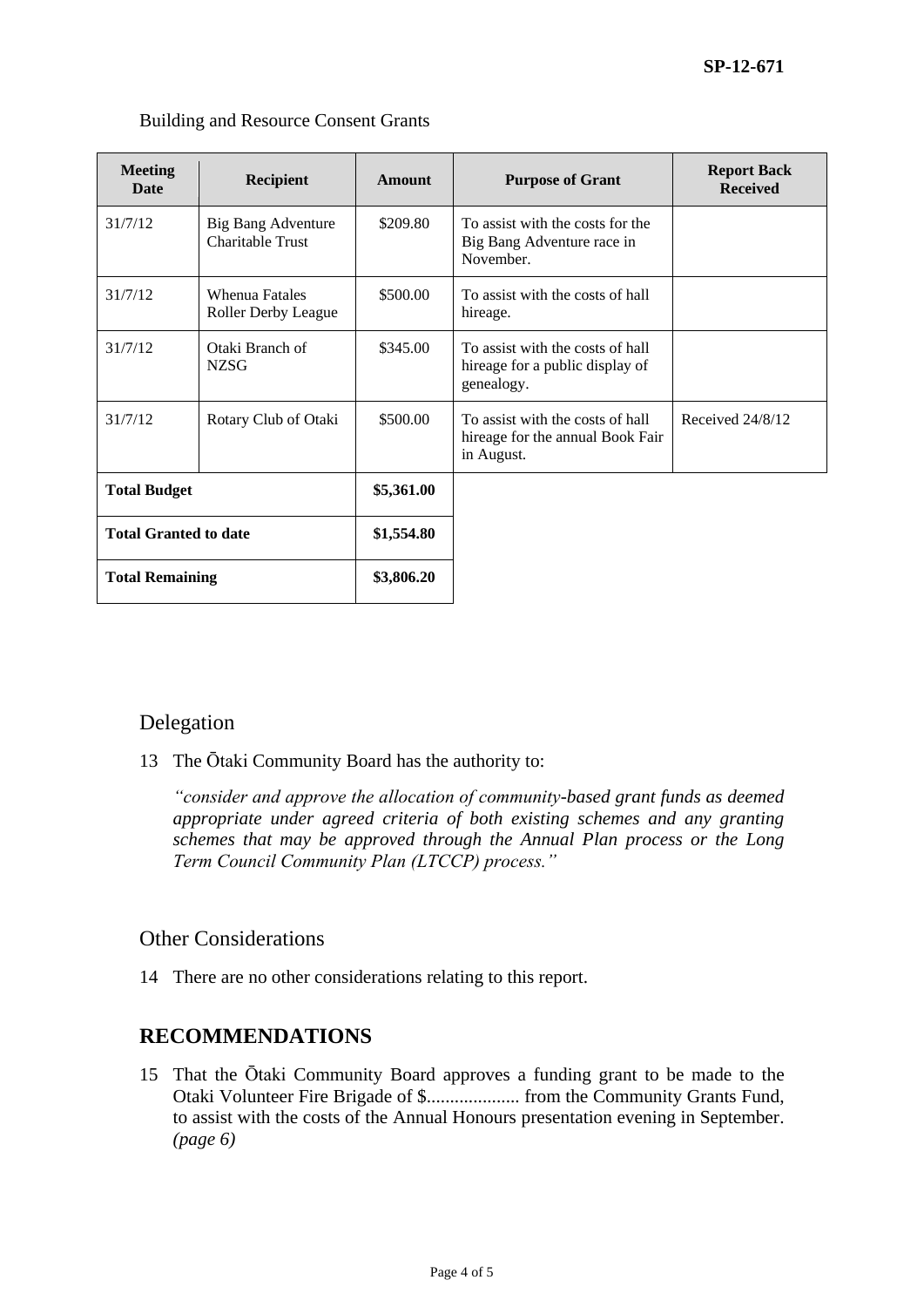| <b>Meeting</b><br><b>Date</b> | <b>Recipient</b>                                    | Amount     | <b>Purpose of Grant</b>                                                            | <b>Report Back</b><br><b>Received</b> |
|-------------------------------|-----------------------------------------------------|------------|------------------------------------------------------------------------------------|---------------------------------------|
| 31/7/12                       | Big Bang Adventure<br>Charitable Trust              | \$209.80   | To assist with the costs for the<br>Big Bang Adventure race in<br>November.        |                                       |
| 31/7/12                       | <b>Whenua Fatales</b><br><b>Roller Derby League</b> | \$500.00   | To assist with the costs of hall<br>hireage.                                       |                                       |
| 31/7/12                       | Otaki Branch of<br><b>NZSG</b>                      | \$345.00   | To assist with the costs of hall<br>hireage for a public display of<br>genealogy.  |                                       |
| 31/7/12                       | Rotary Club of Otaki                                | \$500.00   | To assist with the costs of hall<br>hireage for the annual Book Fair<br>in August. | Received 24/8/12                      |
| <b>Total Budget</b>           |                                                     | \$5,361.00 |                                                                                    |                                       |
| <b>Total Granted to date</b>  |                                                     | \$1,554.80 |                                                                                    |                                       |
| <b>Total Remaining</b>        |                                                     | \$3,806.20 |                                                                                    |                                       |

#### Building and Resource Consent Grants

## Delegation

13 The Ōtaki Community Board has the authority to:

*"consider and approve the allocation of community-based grant funds as deemed appropriate under agreed criteria of both existing schemes and any granting schemes that may be approved through the Annual Plan process or the Long Term Council Community Plan (LTCCP) process."*

### Other Considerations

14 There are no other considerations relating to this report.

## **RECOMMENDATIONS**

15 That the Ōtaki Community Board approves a funding grant to be made to the Otaki Volunteer Fire Brigade of \$.................... from the Community Grants Fund, to assist with the costs of the Annual Honours presentation evening in September. *(page 6)*